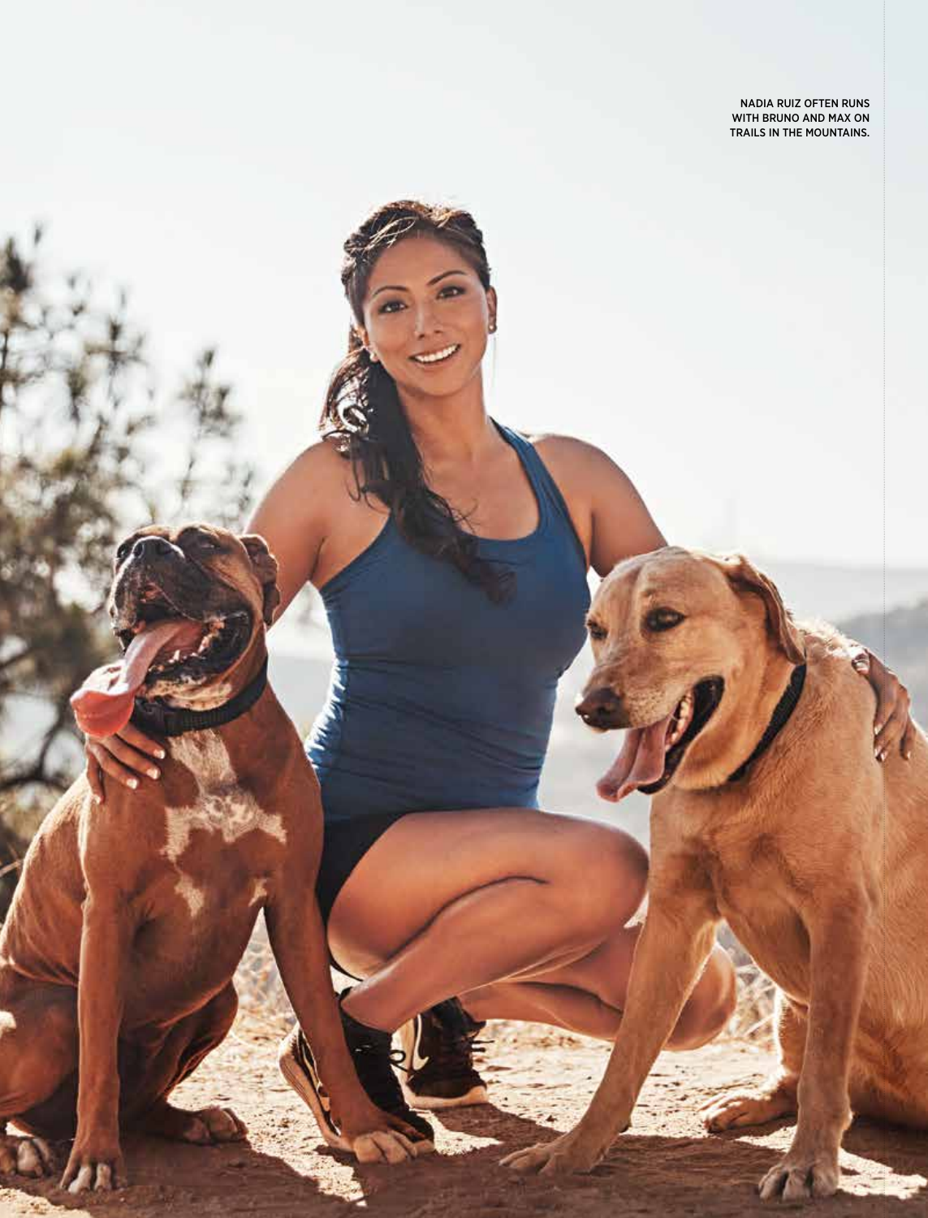Nadia Ruiz often runs with Bruno and Max on trails in the mountains.

 $\mathbf{r}$  women is running and  $\mathbf{r}$ 

Ì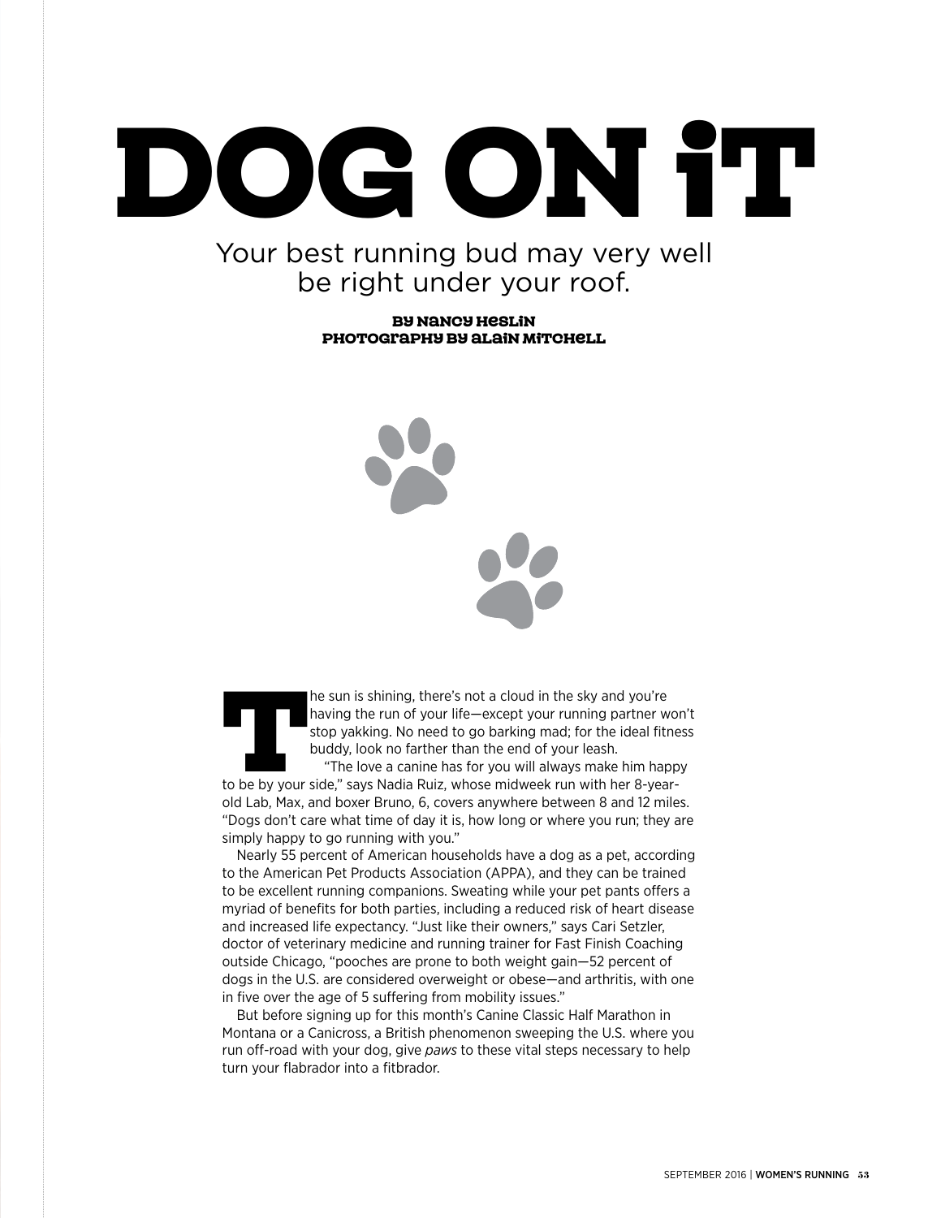# DOG ON IT

## Your best running bud may very well be right under your roof.

By Nancy Heslin photography by Alain Mitchell

The sun is shining, there's not a cloud in the sky and you're<br>
having the run of your life—except your running partner wo<br>
stop yakking. No need to go barking mad; for the ideal fitne<br>
buddy, look no farther than the end o having the run of your life—except your running partner won't stop yakking. No need to go barking mad; for the ideal fitness buddy, look no farther than the end of your leash. "The love a canine has for you will always make him happy old Lab, Max, and boxer Bruno, 6, covers anywhere between 8 and 12 miles. "Dogs don't care what time of day it is, how long or where you run; they are simply happy to go running with you."

Nearly 55 percent of American households have a dog as a pet, according to the American Pet Products Association (APPA), and they can be trained to be excellent running companions. Sweating while your pet pants offers a myriad of benefits for both parties, including a reduced risk of heart disease and increased life expectancy. "Just like their owners," says Cari Setzler, doctor of veterinary medicine and running trainer for Fast Finish Coaching outside Chicago, "pooches are prone to both weight gain—52 percent of dogs in the U.S. are considered overweight or obese—and arthritis, with one in five over the age of 5 suffering from mobility issues."

But before signing up for this month's Canine Classic Half Marathon in Montana or a Canicross, a British phenomenon sweeping the U.S. where you run off-road with your dog, give *paws* to these vital steps necessary to help turn your flabrador into a fitbrador.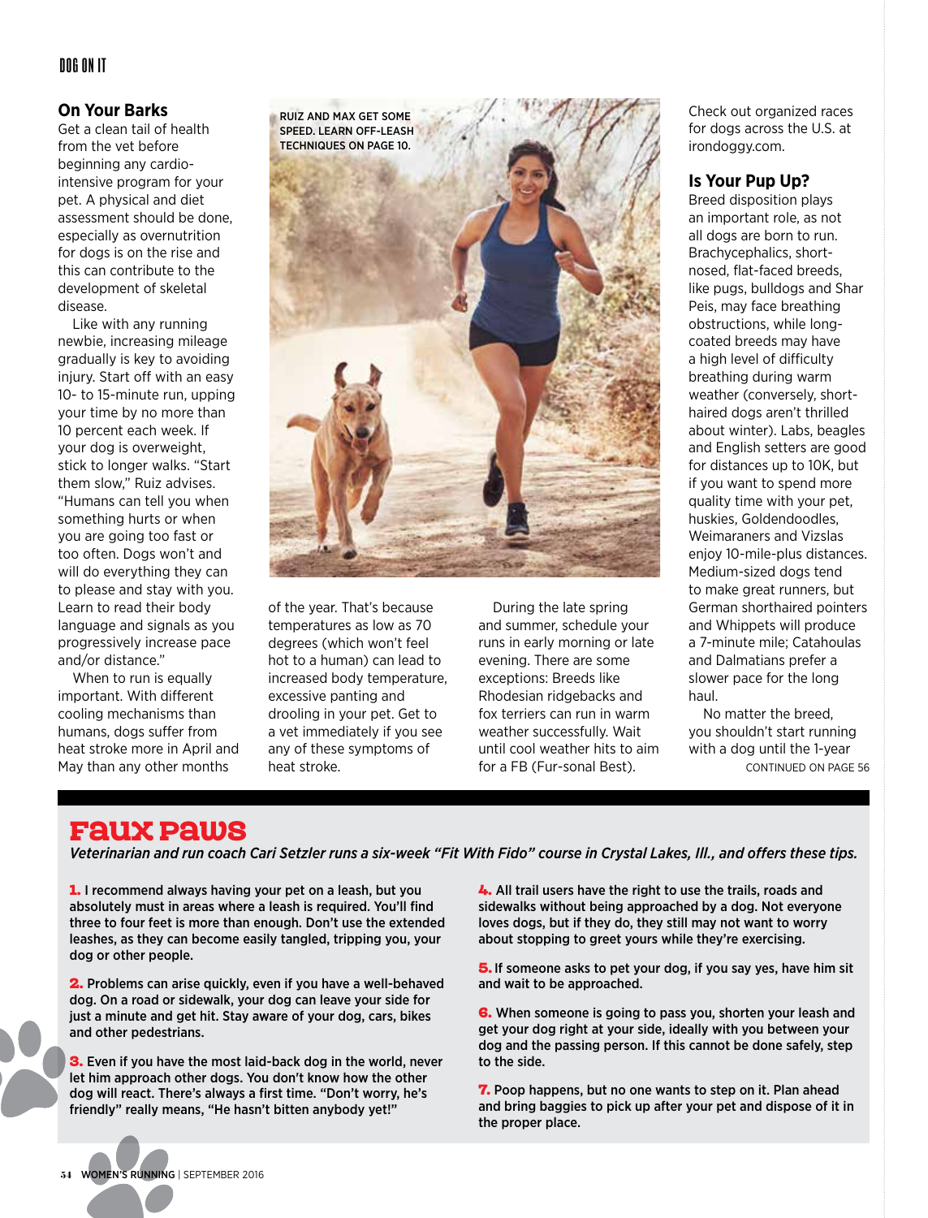## Dog On It

#### **On Your Barks**

Get a clean tail of health from the vet before beginning any cardiointensive program for your pet. A physical and diet assessment should be done, especially as overnutrition for dogs is on the rise and this can contribute to the development of skeletal disease.

Like with any running newbie, increasing mileage gradually is key to avoiding injury. Start off with an easy 10- to 15-minute run, upping your time by no more than 10 percent each week. If your dog is overweight, stick to longer walks. "Start them slow," Ruiz advises. "Humans can tell you when something hurts or when you are going too fast or too often. Dogs won't and will do everything they can to please and stay with you. Learn to read their body language and signals as you progressively increase pace and/or distance."

When to run is equally important. With different cooling mechanisms than humans, dogs suffer from heat stroke more in April and May than any other months



of the year. That's because temperatures as low as 70 degrees (which won't feel hot to a human) can lead to increased body temperature, excessive panting and drooling in your pet. Get to a vet immediately if you see any of these symptoms of heat stroke.

During the late spring and summer, schedule your runs in early morning or late evening. There are some exceptions: Breeds like Rhodesian ridgebacks and fox terriers can run in warm weather successfully. Wait until cool weather hits to aim for a FB (Fur-sonal Best).

Check out organized races for dogs across the U.S. at irondoggy.com.

#### **Is Your Pup Up?**

Breed disposition plays an important role, as not all dogs are born to run. Brachycephalics, shortnosed, flat-faced breeds, like pugs, bulldogs and Shar Peis, may face breathing obstructions, while longcoated breeds may have a high level of difficulty breathing during warm weather (conversely, shorthaired dogs aren't thrilled about winter). Labs, beagles and English setters are good for distances up to 10K, but if you want to spend more quality time with your pet, huskies, Goldendoodles, Weimaraners and Vizslas enjoy 10-mile-plus distances. Medium-sized dogs tend to make great runners, but German shorthaired pointers and Whippets will produce a 7-minute mile; Catahoulas and Dalmatians prefer a slower pace for the long haul.

No matter the breed, you shouldn't start running with a dog until the 1-year continued on page 56

## Faux Paws

*Veterinarian and run coach Cari Setzler runs a six-week "Fit With Fido" course in Crystal Lakes, Ill., and offers these tips.* 

1. I recommend always having your pet on a leash, but you absolutely must in areas where a leash is required. You'll find three to four feet is more than enough. Don't use the extended leashes, as they can become easily tangled, tripping you, your dog or other people.

2. Problems can arise quickly, even if you have a well-behaved dog. On a road or sidewalk, your dog can leave your side for just a minute and get hit. Stay aware of your dog, cars, bikes and other pedestrians.

**3.** Even if you have the most laid-back dog in the world, never let him approach other dogs. You don't know how the other dog will react. There's always a first time. "Don't worry, he's friendly" really means, "He hasn't bitten anybody yet!"

4. All trail users have the right to use the trails, roads and sidewalks without being approached by a dog. Not everyone loves dogs, but if they do, they still may not want to worry about stopping to greet yours while they're exercising.

**5.** If someone asks to pet your dog, if you say yes, have him sit and wait to be approached.

**6.** When someone is going to pass you, shorten your leash and get your dog right at your side, ideally with you between your dog and the passing person. If this cannot be done safely, step to the side.

7. Poop happens, but no one wants to step on it. Plan ahead and bring baggies to pick up after your pet and dispose of it in the proper place.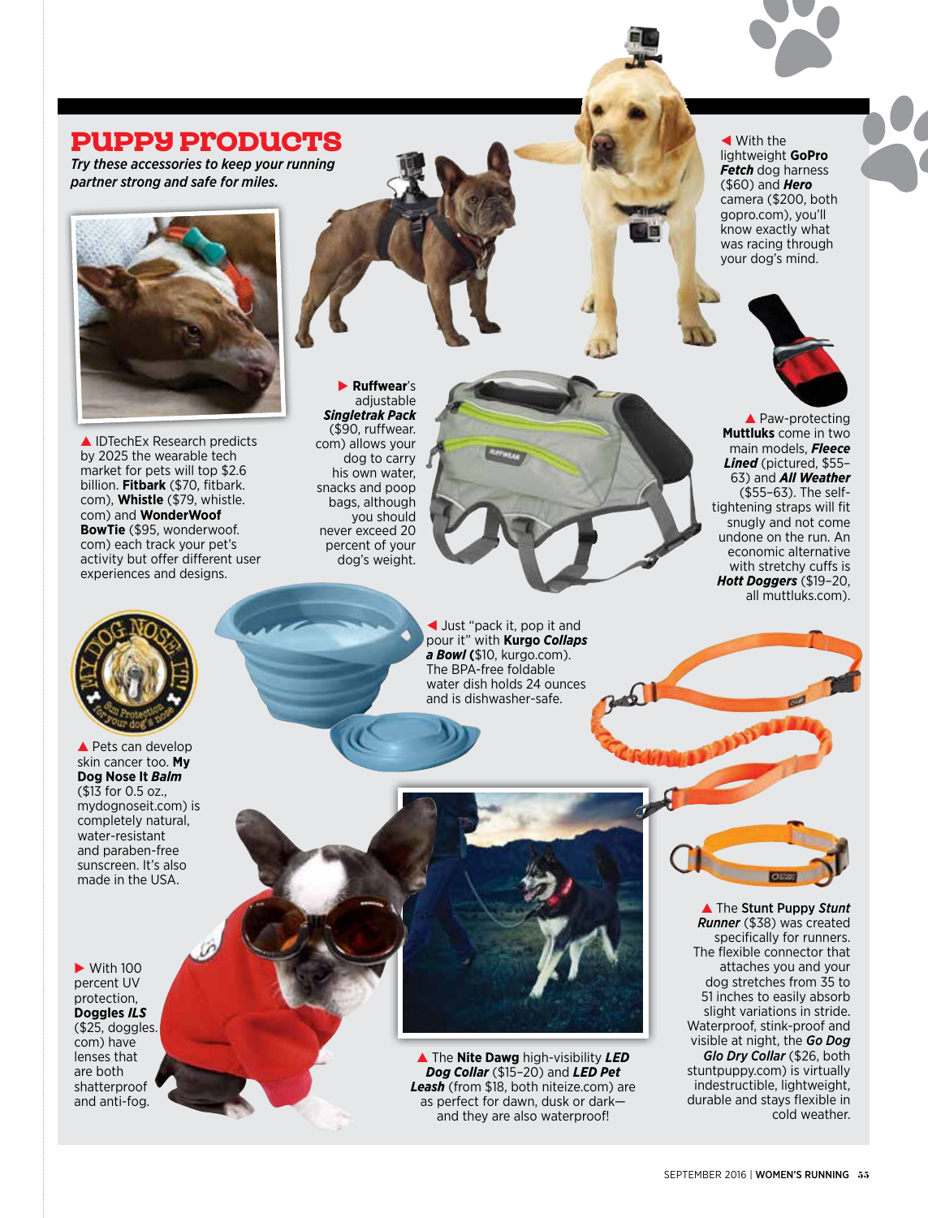## **PUPPY ProDUCTS**

*Try these accessories to keep your running partner strong and safe for miles.* 



▲ IDTechEx Research predicts by 2025 the wearable tech market for pets will top \$2.6 billion. **Fitbark** (\$70, fitbark. com), **Whistle** (\$79, whistle. com) and **WonderWoof BowTie** (\$95, wonderwoof. com) each track your pet's activity but offer different user experiences and designs.

E **Ruffwear**'s adjustable *Singletrak Pack* (\$90, ruffwear. com) allows your dog to carry his own water, snacks and poop bags, although you should never exceed 20 percent of your dog's weight.



 $\blacktriangleleft$  With the lightweight **GoPro**  *Fetch* dog harness (\$60) and *Hero* camera (\$200, both gopro.com), you'll know exactly what was racing through your dog's mind.



 $\triangle$  Paw-protecting **Muttluks** come in two main models, *Fleece Lined* (pictured, \$55– 63) and *All Weather* (\$55–63). The selftightening straps will fit snugly and not come undone on the run. An economic alternative with stretchy cuffs is *Hott Doggers* (\$19–20, all muttluks.com).



 $\triangle$  Pets can develop skin cancer too. **My Dog Nose It** *Balm* (\$13 for 0.5 oz., mydognoseit.com) is completely natural, water-resistant and paraben-free sunscreen. It's also made in the USA.

 $\blacktriangleright$  With 100 percent UV protection, **Doggles** *ILS* (\$25, doggles. com) have lenses that are both shatterproof and anti-fog.

I Just "pack it, pop it and pour it" with **Kurgo** *Collaps a Bowl* **(**\$10, kurgo.com). The BPA-free foldable water dish holds 24 ounces and is dishwasher-safe.

G The **Nite Dawg** high-visibility *LED Dog Collar* (\$15–20) and *LED Pet Leash* (from \$18, both niteize.com) are as perfect for dawn, dusk or dark and they are also waterproof!



**A** The Stunt Puppy Stunt *Runner* (\$38) was created specifically for runners. The flexible connector that attaches you and your dog stretches from 35 to 51 inches to easily absorb slight variations in stride. Waterproof, stink-proof and visible at night, the *Go Dog Glo Dry Collar* (\$26, both stuntpuppy.com) is virtually indestructible, lightweight, durable and stays flexible in cold weather.